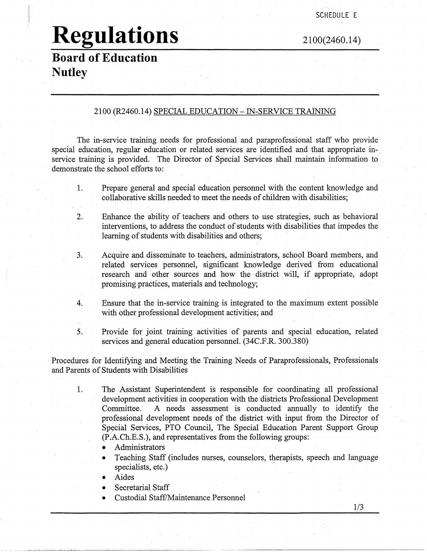# **Regulations**

2100(2460.14)

### **Board of Education Nutley**

#### 2100 (R2460.14) SPECIAL EDUCATION -IN-SERVICE TRAINING

The in-service training needs for professional and paraprofessional staff who provide special education, regular education or related services are identified and that appropriate inservice training is provided. The Director of Special Services shall maintain information to demonstrate the school efforts to:

- 1. Prepare general and special education personnel with the content knowledge and collaborative skills needed to meet the needs of children with disabilities;
- 2. Enhance the ability of teachers and others to use strategies, such as behavioral interventions, to address the conduct of students with disabilities that impedes the learning of students with disabilities and others;
- 3. Acquire and disseminate to teachers, administrators, school Board members, and related services personnel, significant knowledge derived from educational research and other sources and how the district will, if appropriate, adopt promising practices, materials and technology;
- 4. Ensure that the in-service training is integrated to the maximum extent possible with other professional development activities; and
- 5. Provide for joint training activities of parents and special education, related services and general education personnel. (34C.F.R. 300.380)

Procedures for Identifying and Meeting the Training Needs of Paraprofessionals, Professionals and Parents of Students with Disabilities

- 1. The Assistant Superintendent is responsible for coordinating all professional development activities in cooperation with the districts Professional Development Committee. A needs assessment is conducted annually to identify the professional development needs of the district with input from the Director of Special Services, PTO Council, The Special Education Parent Support Group (P.A.Ch.E.S.), and representatives from the following groups:
	- Administrators
	- Teaching Staff (includes nurses, counselors, therapists, speech and language specialists, etc.)
	- Aides
	- Secretarial Staff
	- Custodial Staff/Maintenance Personnel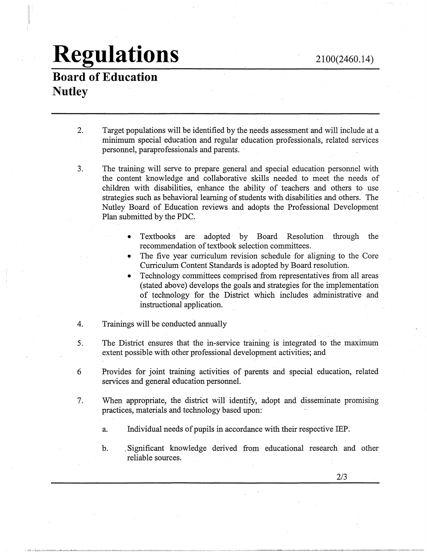# **Regulations**

### **Board of Education Nutley**

'I' ii ,,  $\mathbb{R}$ 

- 2. Target populations will be identified by the needs assessment and will include at a minimum special education and regular education professionals, related services personnel, paraprofessionals and parents.
- 3. The training will serve to prepare general and special education personnel with the content knowledge and collaborative skills needed to meet the needs of children with disabilities, enhance the ability of teachers and others to use strategies such as behavioral learning of students with disabilities and others. The Nutley Board of Education reviews and adopts the Professional Development· Plan submitted by the PDC.
	- Textbooks are adopted by Board Resolution through the recommendation of textbook selection committees.
	- The five year curriculum revision schedule for aligning to the Core Curriculum Content Standards is adopted by Board resolution.
	- Technology committees comprised from representatives from all areas (stated above) develops the goals and strategies for the implementation of technology for the District which includes administrative and instructional application.
- 4. Trainings will be conducted annually
- 5. The District ensures that the in-service training is integrated· to the maximum extent possible with other professional development activities; and
- 6 Provides for joint training activities of parents and special education, related services and general education personnel.
- 7. When appropriate, the district will identify, adopt and disseminate promising practices, materials and technology based upon:
	- a. Individual needs of pupils in accordance with their respective IBP.
	- b. . Significant knowledge derived from educational research and other reliable sources.

2/3